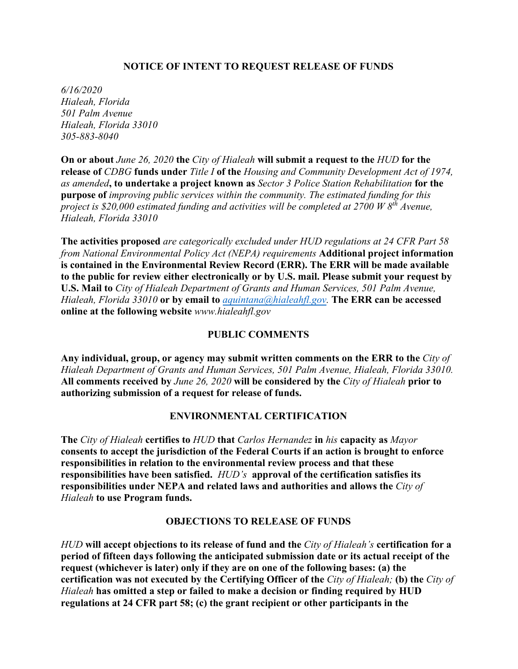## **NOTICE OF INTENT TO REQUEST RELEASE OF FUNDS**

*6/16/2020 Hialeah, Florida 501 Palm Avenue Hialeah, Florida 33010 305-883-8040*

**On or about** *June 26, 2020* **the** *City of Hialeah* **will submit a request to the** *HUD* **for the release of** *CDBG* **funds under** *Title I* **of the** *Housing and Community Development Act of 1974, as amended***, to undertake a project known as** *Sector 3 Police Station Rehabilitation* **for the purpose of** *improving public services within the community. The estimated funding for this project is \$20,000 estimated funding and activities will be completed at 2700 W 8th Avenue, Hialeah, Florida 33010* 

**The activities proposed** *are categorically excluded under HUD regulations at 24 CFR Part 58 from National Environmental Policy Act (NEPA) requirements* **Additional project information is contained in the Environmental Review Record (ERR). The ERR will be made available to the public for review either electronically or by U.S. mail. Please submit your request by U.S. Mail to** *City of Hialeah Department of Grants and Human Services, 501 Palm Avenue, Hialeah, Florida 33010* **or by email to** *[aquintana@hialeahfl.gov.](mailto:aquintana@hialeahfl.gov)* **The ERR can be accessed online at the following website** *www.hialeahfl.gov*

## **PUBLIC COMMENTS**

**Any individual, group, or agency may submit written comments on the ERR to the** *City of Hialeah Department of Grants and Human Services, 501 Palm Avenue, Hialeah, Florida 33010.*  **All comments received by** *June 26, 2020* **will be considered by the** *City of Hialeah* **prior to authorizing submission of a request for release of funds.** 

## **ENVIRONMENTAL CERTIFICATION**

**The** *City of Hialeah* **certifies to** *HUD* **that** *Carlos Hernandez* **in** *his* **capacity as** *Mayor*  **consents to accept the jurisdiction of the Federal Courts if an action is brought to enforce responsibilities in relation to the environmental review process and that these responsibilities have been satisfied.** *HUD's* **approval of the certification satisfies its responsibilities under NEPA and related laws and authorities and allows the** *City of Hialeah* **to use Program funds.** 

## **OBJECTIONS TO RELEASE OF FUNDS**

*HUD* **will accept objections to its release of fund and the** *City of Hialeah's* **certification for a period of fifteen days following the anticipated submission date or its actual receipt of the request (whichever is later) only if they are on one of the following bases: (a) the certification was not executed by the Certifying Officer of the** *City of Hialeah;* **(b) the** *City of Hialeah* **has omitted a step or failed to make a decision or finding required by HUD regulations at 24 CFR part 58; (c) the grant recipient or other participants in the**